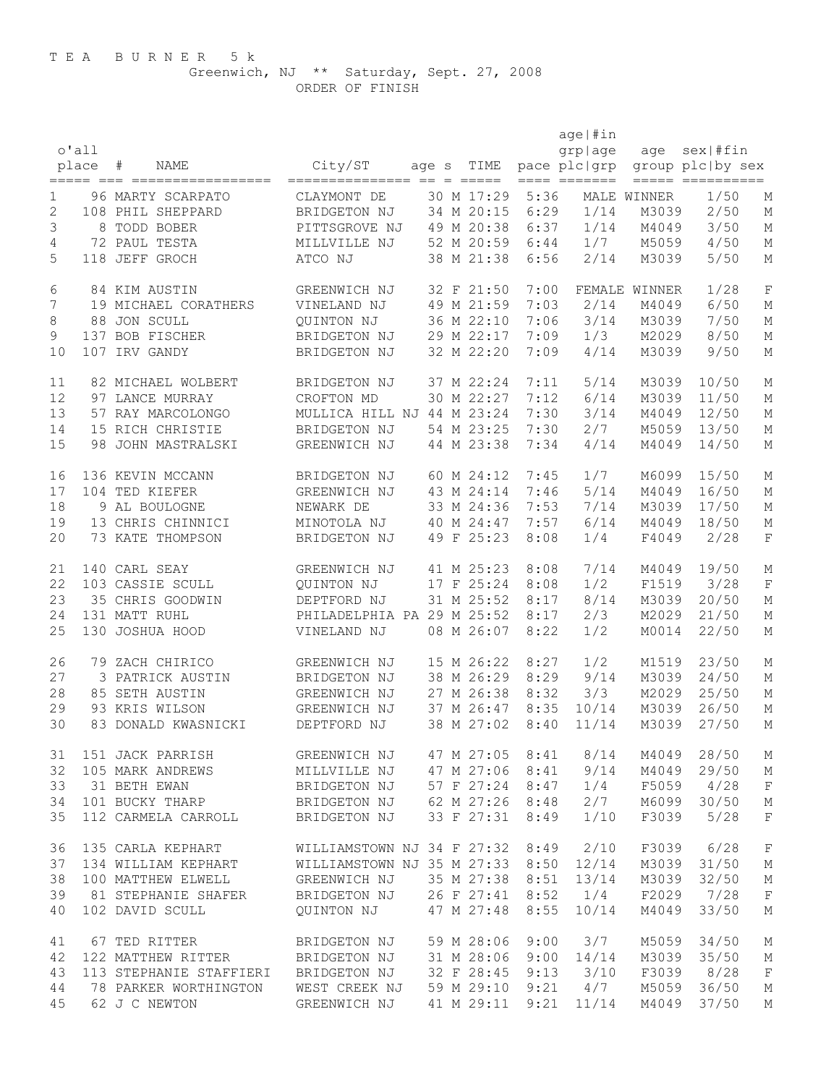ORDER OF FINISH

|    | 0'all<br>place | ${}^+$<br>NAME                       | City/ST<br>_______________      | age s | TIME<br>$=$ $=$ $=$ $=$ $=$ |      | age   #in<br>grplage<br>pace plc   grp<br>==== ======= | age           | $sex$   #fin<br>group plc by sex<br>===== ========== |                           |
|----|----------------|--------------------------------------|---------------------------------|-------|-----------------------------|------|--------------------------------------------------------|---------------|------------------------------------------------------|---------------------------|
| 1  |                | 96 MARTY SCARPATO                    | CLAYMONT DE                     |       | 30 M 17:29                  | 5:36 |                                                        | MALE WINNER   | 1/50                                                 | М                         |
| 2  |                | 108 PHIL SHEPPARD                    | BRIDGETON NJ                    |       | 34 M 20:15                  | 6:29 | 1/14                                                   | M3039         | 2/50                                                 | М                         |
| 3  | 8              | TODD BOBER                           | PITTSGROVE NJ                   |       | 49 M 20:38                  | 6:37 | 1/14                                                   | M4049         | 3/50                                                 | М                         |
| 4  |                | 72 PAUL TESTA                        | MILLVILLE NJ                    |       | 52 M 20:59                  | 6:44 | 1/7                                                    | M5059         | 4/50                                                 | $\mathop{\rm M}\nolimits$ |
| 5  |                | 118 JEFF GROCH                       | ATCO NJ                         |       | 38 M 21:38                  | 6:56 | 2/14                                                   | M3039         | 5/50                                                 | М                         |
| 6  |                | 84 KIM AUSTIN                        | GREENWICH NJ                    |       | 32 F 21:50                  | 7:00 |                                                        | FEMALE WINNER | 1/28                                                 | $\mathbf F$               |
| 7  |                | 19 MICHAEL CORATHERS                 | VINELAND NJ                     |       | 49 M 21:59                  | 7:03 | 2/14                                                   | M4049         | 6/50                                                 | М                         |
| 8  |                | 88 JON SCULL                         | QUINTON NJ                      |       | 36 M 22:10                  | 7:06 | 3/14                                                   | M3039         | 7/50                                                 | М                         |
| 9  |                | 137 BOB FISCHER                      | BRIDGETON NJ                    |       | 29 M 22:17                  | 7:09 | 1/3                                                    | M2029         | 8/50                                                 | М                         |
| 10 |                | 107 IRV GANDY                        | BRIDGETON NJ                    |       | 32 M 22:20                  | 7:09 | 4/14                                                   | M3039         | 9/50                                                 | М                         |
| 11 |                | 82 MICHAEL WOLBERT                   | BRIDGETON NJ                    |       | 37 M 22:24                  | 7:11 | 5/14                                                   | M3039         | 10/50                                                | М                         |
| 12 |                | 97 LANCE MURRAY                      | CROFTON MD                      |       | 30 M 22:27                  | 7:12 | 6/14                                                   | M3039         | 11/50                                                | М                         |
| 13 |                | 57 RAY MARCOLONGO                    | MULLICA HILL NJ 44 M 23:24      |       |                             | 7:30 | 3/14                                                   | M4049         | 12/50                                                | $\mathop{\rm M}\nolimits$ |
| 14 |                | 15 RICH CHRISTIE                     | BRIDGETON NJ                    |       | 54 M 23:25                  | 7:30 | 2/7                                                    | M5059         | 13/50                                                | М                         |
| 15 |                | 98 JOHN MASTRALSKI                   | GREENWICH NJ                    |       | 44 M 23:38                  | 7:34 | 4/14                                                   | M4049         | 14/50                                                | М                         |
| 16 |                | 136 KEVIN MCCANN                     | BRIDGETON NJ                    |       | 60 M 24:12                  | 7:45 | 1/7                                                    | M6099         | 15/50                                                | Μ                         |
| 17 |                | 104 TED KIEFER                       | GREENWICH NJ                    |       | 43 M 24:14                  | 7:46 | 5/14                                                   | M4049         | 16/50                                                | М                         |
| 18 |                | 9 AL BOULOGNE                        | NEWARK DE                       |       | 33 M 24:36                  | 7:53 | 7/14                                                   | M3039         | 17/50                                                | М                         |
| 19 |                | 13 CHRIS CHINNICI                    | MINOTOLA NJ                     |       | 40 M 24:47                  | 7:57 | 6/14                                                   | M4049         | 18/50                                                | $\mathop{\rm M}\nolimits$ |
| 20 |                | 73 KATE THOMPSON                     | BRIDGETON NJ                    |       | 49 F 25:23                  | 8:08 | 1/4                                                    | F4049         | 2/28                                                 | $\mathbf F$               |
| 21 |                | 140 CARL SEAY                        | GREENWICH NJ                    |       | 41 M 25:23                  | 8:08 | 7/14                                                   | M4049         | 19/50                                                | М                         |
| 22 |                | 103 CASSIE SCULL                     | QUINTON NJ                      |       | 17 F 25:24                  | 8:08 | 1/2                                                    | F1519         | 3/28                                                 | $\mathbf F$               |
| 23 |                | 35 CHRIS GOODWIN                     | DEPTFORD NJ                     |       | 31 M 25:52                  | 8:17 | 8/14                                                   | M3039         | 20/50                                                | М                         |
| 24 |                | 131 MATT RUHL                        | PHILADELPHIA PA 29 M 25:52      |       |                             | 8:17 | 2/3                                                    | M2029         | 21/50                                                | М                         |
| 25 |                | 130 JOSHUA HOOD                      | VINELAND NJ                     |       | 08 M 26:07                  | 8:22 | 1/2                                                    | M0014         | 22/50                                                | М                         |
| 26 |                | 79 ZACH CHIRICO                      | GREENWICH NJ                    |       | 15 M 26:22                  | 8:27 | 1/2                                                    | M1519         | 23/50                                                | М                         |
| 27 |                | 3 PATRICK AUSTIN                     | BRIDGETON NJ                    |       | 38 M 26:29                  | 8:29 | 9/14                                                   | M3039         | 24/50                                                | М                         |
| 28 |                | 85 SETH AUSTIN                       | GREENWICH NJ                    |       | 27 M 26:38                  | 8:32 | 3/3                                                    | M2029         | 25/50                                                | М                         |
| 29 |                | 93 KRIS WILSON                       | GREENWICH NJ                    |       | 37 M 26:47                  | 8:35 | 10/14                                                  | M3039         | 26/50                                                | М                         |
| 30 |                | 83 DONALD KWASNICKI                  | DEPTFORD NJ                     |       | 38 M 27:02                  | 8:40 | 11/14                                                  | M3039         | 27/50                                                | М                         |
| 31 |                | 151 JACK PARRISH                     | GREENWICH NJ                    |       | 47 M 27:05                  | 8:41 | 8/14                                                   | M4049         | 28/50                                                | М                         |
| 32 |                | 105 MARK ANDREWS                     | MILLVILLE NJ                    |       | 47 M 27:06                  | 8:41 | 9/14                                                   | M4049         | 29/50                                                | М                         |
| 33 |                | 31 BETH EWAN                         | BRIDGETON NJ                    |       | 57 F 27:24                  | 8:47 | 1/4                                                    | F5059         | 4/28                                                 | $\mathbf F$               |
| 34 |                | 101 BUCKY THARP                      | BRIDGETON NJ                    |       | 62 M 27:26 8:48             |      | 2/7                                                    |               | M6099 30/50                                          | $\mathbb M$               |
| 35 |                | 112 CARMELA CARROLL                  | BRIDGETON NJ                    |       | 33 F 27:31                  | 8:49 | 1/10                                                   | F3039         | 5/28                                                 | $\mathbf F$               |
| 36 |                | 135 CARLA KEPHART                    | WILLIAMSTOWN NJ 34 F 27:32      |       |                             | 8:49 | 2/10                                                   | F3039         | 6/28                                                 | $\mathbf F$               |
| 37 |                | 134 WILLIAM KEPHART                  | WILLIAMSTOWN NJ 35 M 27:33 8:50 |       |                             |      | 12/14                                                  | M3039         | 31/50                                                | М                         |
| 38 |                | 100 MATTHEW ELWELL                   | GREENWICH NJ                    |       | 35 M 27:38                  | 8:51 | 13/14                                                  | M3039         | 32/50                                                | М                         |
| 39 |                | 81 STEPHANIE SHAFER                  | BRIDGETON NJ                    |       | 26 F 27:41                  | 8:52 | 1/4                                                    | F2029         | 7/28                                                 | F                         |
| 40 |                | 102 DAVID SCULL                      | QUINTON NJ                      |       | 47 M 27:48                  | 8:55 | 10/14                                                  | M4049         | 33/50                                                | М                         |
| 41 |                | 67 TED RITTER                        | BRIDGETON NJ                    |       | 59 M 28:06                  | 9:00 | 3/7                                                    | M5059         | 34/50                                                | М                         |
| 42 |                | 122 MATTHEW RITTER                   | BRIDGETON NJ                    |       | 31 M 28:06                  | 9:00 | 14/14                                                  | M3039         | 35/50                                                | М                         |
| 43 |                | 113 STEPHANIE STAFFIERI BRIDGETON NJ |                                 |       | 32 F 28:45                  | 9:13 | 3/10                                                   | F3039         | 8/28                                                 | $\mathbf F$               |
| 44 |                | 78 PARKER WORTHINGTON                | WEST CREEK NJ                   |       | 59 M 29:10                  | 9:21 | 4/7                                                    | M5059         | 36/50                                                | М                         |
| 45 |                | 62 J C NEWTON                        | GREENWICH NJ                    |       | 41 M 29:11                  | 9:21 | 11/14                                                  | M4049         | 37/50                                                | М                         |